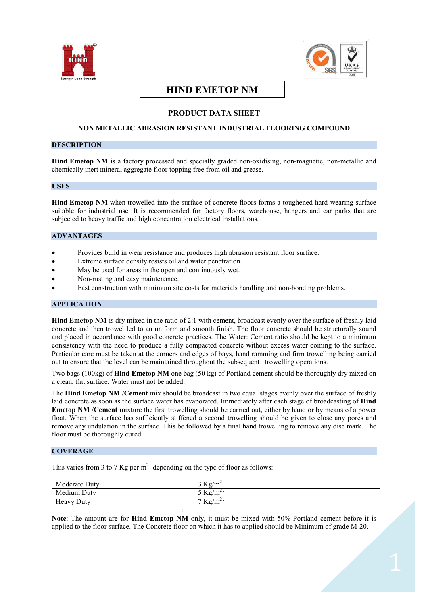



# **HIND EMETOP NM**

## **PRODUCT DATA SHEET**

#### **NON METALLIC ABRASION RESISTANT INDUSTRIAL FLOORING COMPOUND**

#### **DESCRIPTION**

**Hind Emetop NM** is a factory processed and specially graded non-oxidising, non-magnetic, non-metallic and chemically inert mineral aggregate floor topping free from oil and grease.

#### **USES**

**Hind Emetop NM** when trowelled into the surface of concrete floors forms a toughened hard-wearing surface suitable for industrial use. It is recommended for factory floors, warehouse, hangers and car parks that are subjected to heavy traffic and high concentration electrical installations.

#### **ADVANTAGES**

- Provides build in wear resistance and produces high abrasion resistant floor surface.
- Extreme surface density resists oil and water penetration.
- May be used for areas in the open and continuously wet.
- Non-rusting and easy maintenance.
- Fast construction with minimum site costs for materials handling and non-bonding problems.

#### **APPLICATION**

**Hind Emetop NM** is dry mixed in the ratio of 2:1 with cement, broadcast evenly over the surface of freshly laid concrete and then trowel led to an uniform and smooth finish. The floor concrete should be structurally sound and placed in accordance with good concrete practices. The Water: Cement ratio should be kept to a minimum consistency with the need to produce a fully compacted concrete without excess water coming to the surface. Particular care must be taken at the corners and edges of bays, hand ramming and firm trowelling being carried out to ensure that the level can be maintained throughout the subsequent trowelling operations.

Two bags (100kg) of **Hind Emetop NM** one bag (50 kg) of Portland cement should be thoroughly dry mixed on a clean, flat surface. Water must not be added.

The **Hind Emetop NM /Cement** mix should be broadcast in two equal stages evenly over the surface of freshly laid concrete as soon as the surface water has evaporated. Immediately after each stage of broadcasting of **Hind Emetop NM /Cement** mixture the first trowelling should be carried out, either by hand or by means of a power float. When the surface has sufficiently stiffened a second trowelling should be given to close any pores and remove any undulation in the surface. This be followed by a final hand trowelling to remove any disc mark. The floor must be thoroughly cured.

#### **COVERAGE**

This varies from 3 to 7 Kg per  $m^2$  depending on the type of floor as follows:

| Moderate Duty | $3 \text{ Kg/m}^2$  |
|---------------|---------------------|
| Medium Duty   | 5 Kg/m <sup>2</sup> |
| Heavy Duty    | $7 \text{ Kg/m}^2$  |
|               |                     |

**Note**: The amount are for **Hind Emetop NM** only, it must be mixed with 50% Portland cement before it is applied to the floor surface. The Concrete floor on which it has to applied should be Minimum of grade M-20.